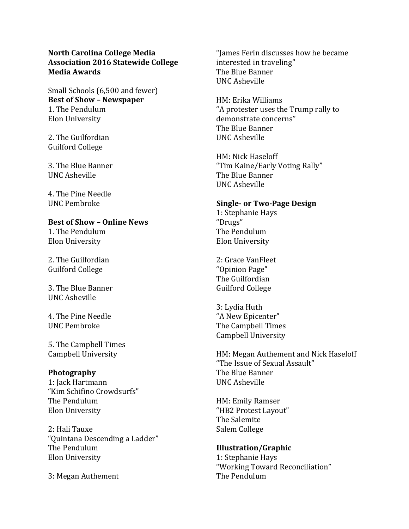## **North Carolina College Media Association 2016 Statewide College Media Awards**

Small Schools (6,500 and fewer) **Best of Show – Newspaper** 1. The Pendulum Elon University

2. The Guilfordian Guilford College

3. The Blue Banner UNC Asheville

4. The Pine Needle UNC Pembroke

## **Best of Show – Online News**

1. The Pendulum Elon University

2. The Guilfordian Guilford College

3. The Blue Banner UNC Asheville

4. The Pine Needle UNC Pembroke

5. The Campbell Times Campbell University

## **Photography**

1: Jack Hartmann "Kim Schifino Crowdsurfs" The Pendulum Elon University

2: Hali Tauxe "Quintana Descending a Ladder" The Pendulum Elon University

3: Megan Authement

"James Ferin discusses how he became interested in traveling" The Blue Banner UNC Asheville

HM: Erika Williams "A protester uses the Trump rally to demonstrate concerns" The Blue Banner UNC Asheville

HM: Nick Haseloff "Tim Kaine/Early Voting Rally" The Blue Banner UNC Asheville

#### **Single- or Two-Page Design**

1: Stephanie Hays "Drugs" The Pendulum Elon University

2: Grace VanFleet "Opinion Page" The Guilfordian Guilford College

3: Lydia Huth "A New Epicenter" The Campbell Times Campbell University

HM: Megan Authement and Nick Haseloff "The Issue of Sexual Assault" The Blue Banner UNC Asheville

HM: Emily Ramser "HB2 Protest Layout" The Salemite Salem College

# **Illustration/Graphic**

1: Stephanie Hays "Working Toward Reconciliation" The Pendulum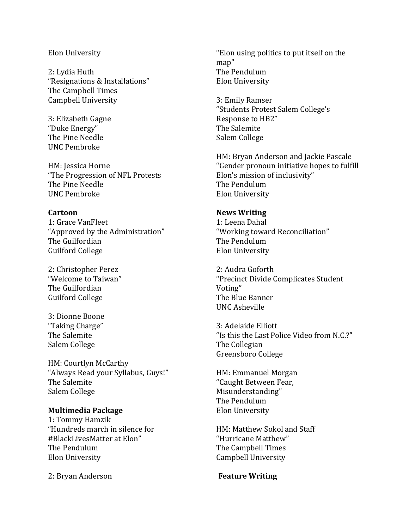#### Elon University

2: Lydia Huth "Resignations & Installations" The Campbell Times Campbell University

3: Elizabeth Gagne "Duke Energy" The Pine Needle UNC Pembroke

HM: Jessica Horne "The Progression of NFL Protests The Pine Needle UNC Pembroke

### **Cartoon**

1: Grace VanFleet "Approved by the Administration" The Guilfordian Guilford College

2: Christopher Perez "Welcome to Taiwan" The Guilfordian Guilford College

3: Dionne Boone "Taking Charge" The Salemite Salem College

HM: Courtlyn McCarthy "Always Read your Syllabus, Guys!" The Salemite Salem College

## **Multimedia Package**

1: Tommy Hamzik "Hundreds march in silence for #BlackLivesMatter at Elon" The Pendulum Elon University

2: Bryan Anderson

"Elon using politics to put itself on the map" The Pendulum Elon University

3: Emily Ramser "Students Protest Salem College's Response to HB2" The Salemite Salem College

HM: Bryan Anderson and Jackie Pascale "Gender pronoun initiative hopes to fulfill Elon's mission of inclusivity" The Pendulum Elon University

#### **News Writing**

1: Leena Dahal "Working toward Reconciliation" The Pendulum Elon University

2: Audra Goforth "Precinct Divide Complicates Student Voting" The Blue Banner UNC Asheville

3: Adelaide Elliott "Is this the Last Police Video from N.C.?" The Collegian Greensboro College

HM: Emmanuel Morgan "Caught Between Fear, Misunderstanding" The Pendulum Elon University

HM: Matthew Sokol and Staff "Hurricane Matthew" The Campbell Times Campbell University

**Feature Writing**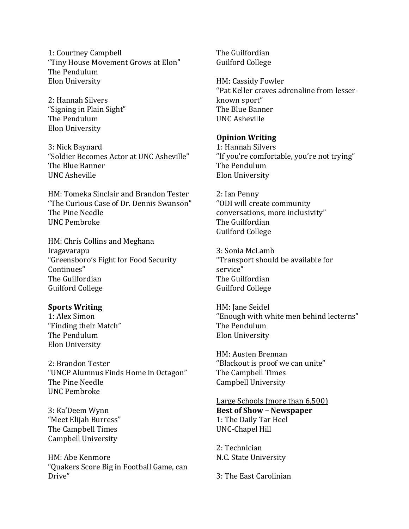1: Courtney Campbell "Tiny House Movement Grows at Elon" The Pendulum Elon University

2: Hannah Silvers "Signing in Plain Sight" The Pendulum Elon University

3: Nick Baynard "Soldier Becomes Actor at UNC Asheville" The Blue Banner UNC Asheville

HM: Tomeka Sinclair and Brandon Tester "The Curious Case of Dr. Dennis Swanson" The Pine Needle UNC Pembroke

HM: Chris Collins and Meghana Iragavarapu "Greensboro's Fight for Food Security Continues" The Guilfordian Guilford College

#### **Sports Writing**

1: Alex Simon "Finding their Match" The Pendulum Elon University

2: Brandon Tester "UNCP Alumnus Finds Home in Octagon" The Pine Needle UNC Pembroke

3: Ka'Deem Wynn "Meet Elijah Burress" The Campbell Times Campbell University

HM: Abe Kenmore "Quakers Score Big in Football Game, can Drive"

The Guilfordian Guilford College

HM: Cassidy Fowler "Pat Keller craves adrenaline from lesserknown sport" The Blue Banner UNC Asheville

#### **Opinion Writing**

1: Hannah Silvers "If you're comfortable, you're not trying" The Pendulum Elon University

2: Ian Penny "ODI will create community conversations, more inclusivity" The Guilfordian Guilford College

3: Sonia McLamb "Transport should be available for service" The Guilfordian Guilford College

HM: Jane Seidel "Enough with white men behind lecterns" The Pendulum Elon University

HM: Austen Brennan "Blackout is proof we can unite" The Campbell Times Campbell University

Large Schools (more than 6,500) **Best of Show – Newspaper**  1: The Daily Tar Heel UNC-Chapel Hill

2: Technician N.C. State University

3: The East Carolinian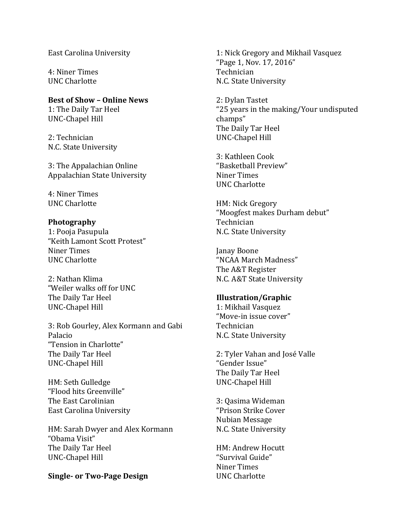East Carolina University

4: Niner Times UNC Charlotte

**Best of Show – Online News**  1: The Daily Tar Heel UNC-Chapel Hill

2: Technician N.C. State University

3: The Appalachian Online Appalachian State University

4: Niner Times UNC Charlotte

### **Photography**

1: Pooja Pasupula "Keith Lamont Scott Protest" Niner Times UNC Charlotte

2: Nathan Klima "Weiler walks off for UNC The Daily Tar Heel UNC-Chapel Hill

3: Rob Gourley, Alex Kormann and Gabi Palacio "Tension in Charlotte" The Daily Tar Heel UNC-Chapel Hill

HM: Seth Gulledge "Flood hits Greenville" The East Carolinian East Carolina University

HM: Sarah Dwyer and Alex Kormann "Obama Visit" The Daily Tar Heel UNC-Chapel Hill

#### **Single- or Two-Page Design**

1: Nick Gregory and Mikhail Vasquez "Page 1, Nov. 17, 2016" Technician N.C. State University

2: Dylan Tastet "25 years in the making/Your undisputed champs" The Daily Tar Heel UNC-Chapel Hill

3: Kathleen Cook "Basketball Preview" Niner Times UNC Charlotte

HM: Nick Gregory "Moogfest makes Durham debut" Technician N.C. State University

Janay Boone "NCAA March Madness" The A&T Register N.C. A&T State University

#### **Illustration/Graphic**

1: Mikhail Vasquez "Move-in issue cover" Technician N.C. State University

2: Tyler Vahan and José Valle "Gender Issue" The Daily Tar Heel UNC-Chapel Hill

3: Qasima Wideman "Prison Strike Cover Nubian Message N.C. State University

HM: Andrew Hocutt "Survival Guide" Niner Times UNC Charlotte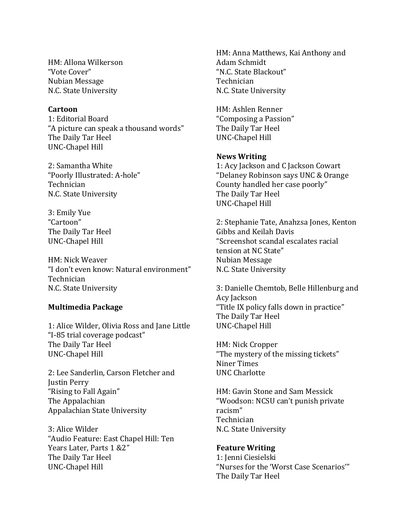HM: Allona Wilkerson "Vote Cover" Nubian Message N.C. State University

#### **Cartoon**

1: Editorial Board "A picture can speak a thousand words" The Daily Tar Heel UNC-Chapel Hill

2: Samantha White "Poorly Illustrated: A-hole" Technician N.C. State University

3: Emily Yue "Cartoon" The Daily Tar Heel UNC-Chapel Hill

HM: Nick Weaver "I don't even know: Natural environment" Technician N.C. State University

#### **Multimedia Package**

1: Alice Wilder, Olivia Ross and Jane Little "I-85 trial coverage podcast" The Daily Tar Heel UNC-Chapel Hill

2: Lee Sanderlin, Carson Fletcher and Justin Perry "Rising to Fall Again" The Appalachian Appalachian State University

3: Alice Wilder "Audio Feature: East Chapel Hill: Ten Years Later, Parts 1 &2" The Daily Tar Heel UNC-Chapel Hill

HM: Anna Matthews, Kai Anthony and Adam Schmidt "N.C. State Blackout" Technician N.C. State University

HM: Ashlen Renner "Composing a Passion" The Daily Tar Heel UNC-Chapel Hill

#### **News Writing**

1: Acy Jackson and C Jackson Cowart "Delaney Robinson says UNC & Orange County handled her case poorly" The Daily Tar Heel UNC-Chapel Hill

2: Stephanie Tate, Anahzsa Jones, Kenton Gibbs and Keilah Davis "Screenshot scandal escalates racial tension at NC State" Nubian Message N.C. State University

3: Danielle Chemtob, Belle Hillenburg and Acy Jackson "Title IX policy falls down in practice" The Daily Tar Heel UNC-Chapel Hill

HM: Nick Cropper "The mystery of the missing tickets" Niner Times UNC Charlotte

HM: Gavin Stone and Sam Messick "Woodson: NCSU can't punish private racism" Technician N.C. State University

#### **Feature Writing**

1: Jenni Ciesielski "Nurses for the 'Worst Case Scenarios'" The Daily Tar Heel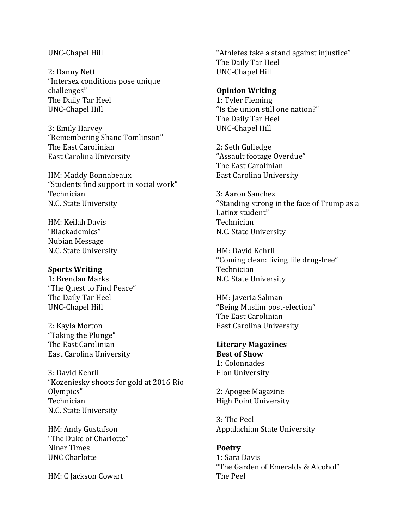#### UNC-Chapel Hill

2: Danny Nett "Intersex conditions pose unique challenges" The Daily Tar Heel UNC-Chapel Hill

3: Emily Harvey "Remembering Shane Tomlinson" The East Carolinian East Carolina University

HM: Maddy Bonnabeaux "Students find support in social work" Technician N.C. State University

HM: Keilah Davis "Blackademics" Nubian Message N.C. State University

#### **Sports Writing**

1: Brendan Marks "The Quest to Find Peace" The Daily Tar Heel UNC-Chapel Hill

2: Kayla Morton "Taking the Plunge" The East Carolinian East Carolina University

3: David Kehrli "Kozeniesky shoots for gold at 2016 Rio Olympics" Technician N.C. State University

HM: Andy Gustafson "The Duke of Charlotte" Niner Times UNC Charlotte

HM: C Jackson Cowart

"Athletes take a stand against injustice" The Daily Tar Heel UNC-Chapel Hill

#### **Opinion Writing**

1: Tyler Fleming "Is the union still one nation?" The Daily Tar Heel UNC-Chapel Hill

2: Seth Gulledge "Assault footage Overdue" The East Carolinian East Carolina University

3: Aaron Sanchez "Standing strong in the face of Trump as a Latinx student" Technician N.C. State University

HM: David Kehrli "Coming clean: living life drug-free" Technician N.C. State University

HM: Javeria Salman "Being Muslim post-election" The East Carolinian East Carolina University

#### **Literary Magazines**

**Best of Show** 1: Colonnades Elon University

2: Apogee Magazine High Point University

3: The Peel Appalachian State University

**Poetry** 1: Sara Davis "The Garden of Emeralds & Alcohol" The Peel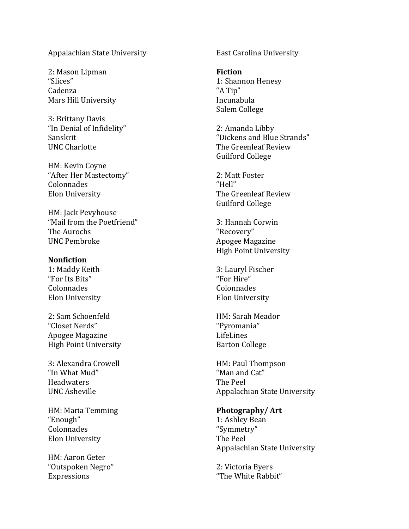#### Appalachian State University

2: Mason Lipman "Slices" Cadenza Mars Hill University

3: Brittany Davis "In Denial of Infidelity" Sanskrit UNC Charlotte

HM: Kevin Coyne "After Her Mastectomy" Colonnades Elon University

HM: Jack Pevyhouse "Mail from the Poetfriend" The Aurochs UNC Pembroke

#### **Nonfiction**

1: Maddy Keith "For Its Bits" Colonnades Elon University

2: Sam Schoenfeld "Closet Nerds" Apogee Magazine High Point University

3: Alexandra Crowell "In What Mud" Headwaters UNC Asheville

HM: Maria Temming "Enough" Colonnades Elon University

HM: Aaron Geter "Outspoken Negro" Expressions

East Carolina University

**Fiction** 1: Shannon Henesy "A Tip" Incunabula Salem College

2: Amanda Libby "Dickens and Blue Strands" The Greenleaf Review Guilford College

2: Matt Foster "Hell" The Greenleaf Review Guilford College

3: Hannah Corwin "Recovery" Apogee Magazine High Point University

3: Lauryl Fischer "For Hire" Colonnades Elon University

HM: Sarah Meador "Pyromania" LifeLines Barton College

HM: Paul Thompson "Man and Cat" The Peel Appalachian State University

**Photography/ Art** 1: Ashley Bean "Symmetry" The Peel Appalachian State University

2: Victoria Byers "The White Rabbit"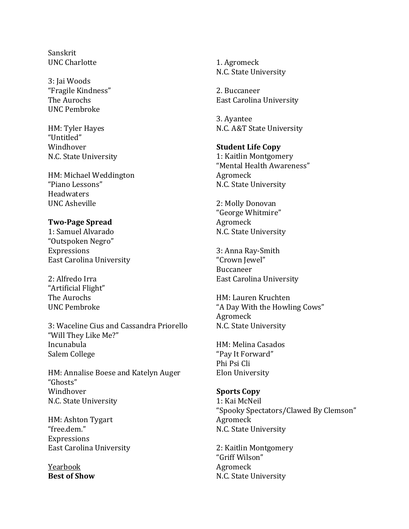Sanskrit UNC Charlotte

3: Jai Woods "Fragile Kindness" The Aurochs UNC Pembroke

HM: Tyler Hayes "Untitled" Windhover N.C. State University

HM: Michael Weddington "Piano Lessons" **Headwaters** UNC Asheville

#### **Two-Page Spread**

1: Samuel Alvarado "Outspoken Negro" Expressions East Carolina University

2: Alfredo Irra "Artificial Flight" The Aurochs UNC Pembroke

3: Waceline Cius and Cassandra Priorello "Will They Like Me?" Incunabula Salem College

HM: Annalise Boese and Katelyn Auger "Ghosts" Windhover N.C. State University

HM: Ashton Tygart "free.dem." **Expressions** East Carolina University

Yearbook **Best of Show** 1. Agromeck N.C. State University

2. Buccaneer East Carolina University

3. Ayantee N.C. A&T State University

## **Student Life Copy**

1: Kaitlin Montgomery "Mental Health Awareness" Agromeck N.C. State University

2: Molly Donovan "George Whitmire" Agromeck N.C. State University

3: Anna Ray-Smith "Crown Jewel" Buccaneer East Carolina University

HM: Lauren Kruchten "A Day With the Howling Cows" Agromeck N.C. State University

HM: Melina Casados "Pay It Forward" Phi Psi Cli Elon University

#### **Sports Copy**

1: Kai McNeil "Spooky Spectators/Clawed By Clemson" Agromeck N.C. State University

2: Kaitlin Montgomery "Griff Wilson" Agromeck N.C. State University